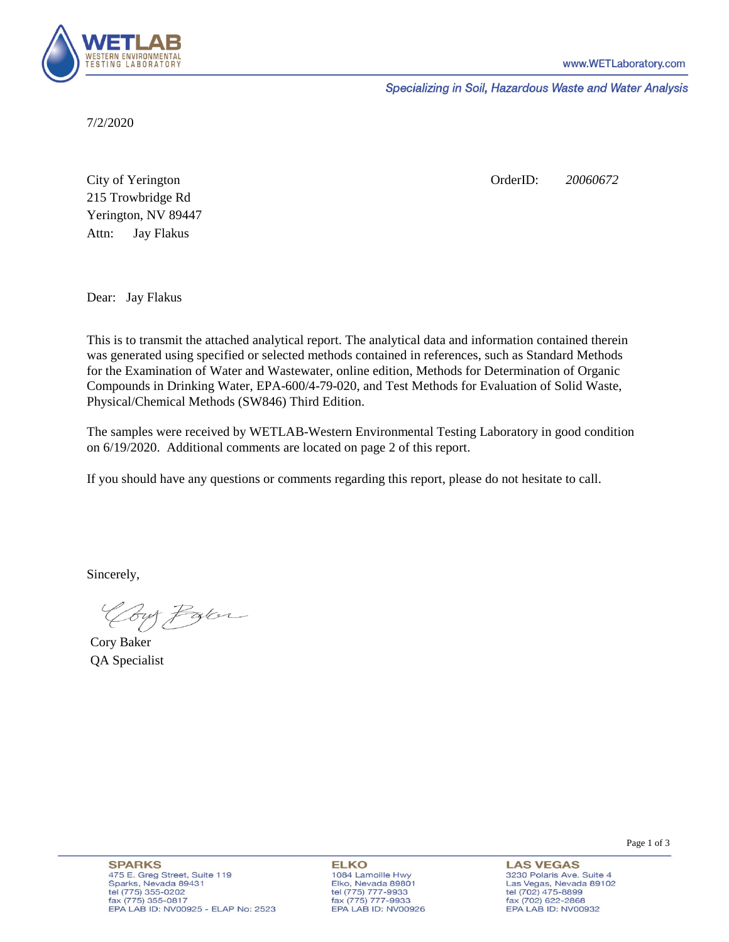

Specializing in Soil, Hazardous Waste and Water Analysis

7/2/2020

Attn: City of Yerington 215 Trowbridge Rd Jay Flakus Yerington, NV 89447 OrderID: *20060672*

Dear: Jay Flakus

This is to transmit the attached analytical report. The analytical data and information contained therein was generated using specified or selected methods contained in references, such as Standard Methods for the Examination of Water and Wastewater, online edition, Methods for Determination of Organic Compounds in Drinking Water, EPA-600/4-79-020, and Test Methods for Evaluation of Solid Waste, Physical/Chemical Methods (SW846) Third Edition.

The samples were received by WETLAB-Western Environmental Testing Laboratory in good condition on 6/19/2020. Additional comments are located on page 2 of this report.

If you should have any questions or comments regarding this report, please do not hesitate to call.

Sincerely,

Your Parce

Cory Baker QA Specialist

Page 1 of 3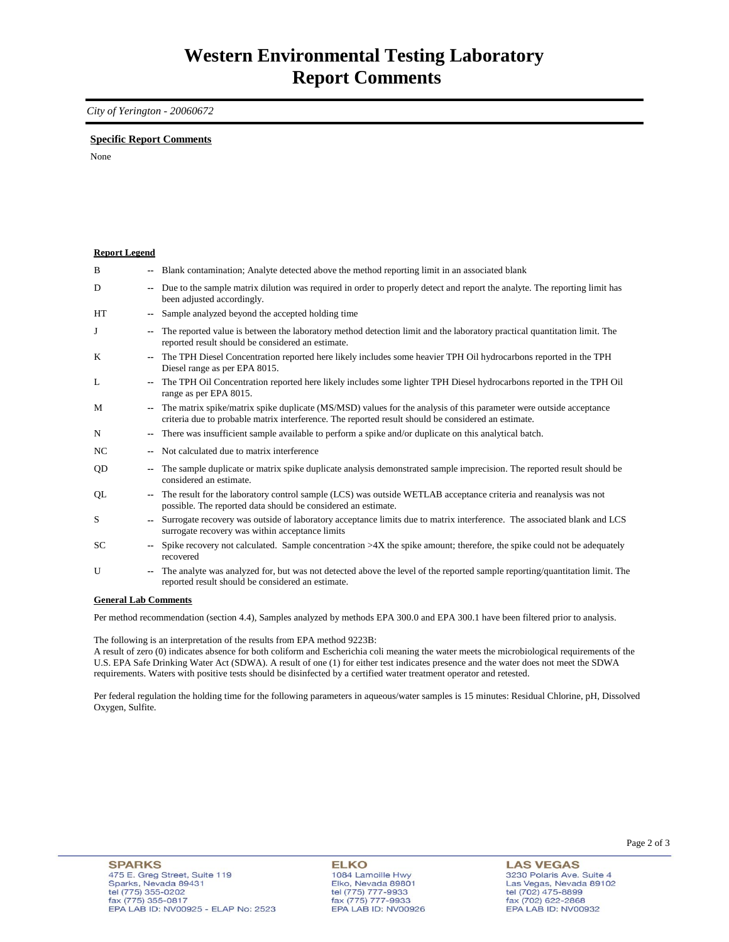*City of Yerington - 20060672* 

#### **Specific Report Comments**

None

### **Report Legend**

| B         |                          | -- Blank contamination; Analyte detected above the method reporting limit in an associated blank                                                                                                                          |
|-----------|--------------------------|---------------------------------------------------------------------------------------------------------------------------------------------------------------------------------------------------------------------------|
| D         |                          | Due to the sample matrix dilution was required in order to properly detect and report the analyte. The reporting limit has<br>been adjusted accordingly.                                                                  |
| <b>HT</b> |                          | Sample analyzed beyond the accepted holding time                                                                                                                                                                          |
| J         |                          | The reported value is between the laboratory method detection limit and the laboratory practical quantitation limit. The<br>reported result should be considered an estimate.                                             |
| K         |                          | The TPH Diesel Concentration reported here likely includes some heavier TPH Oil hydrocarbons reported in the TPH<br>Diesel range as per EPA 8015.                                                                         |
| L         |                          | The TPH Oil Concentration reported here likely includes some lighter TPH Diesel hydrocarbons reported in the TPH Oil<br>range as per EPA 8015.                                                                            |
| M         |                          | The matrix spike/matrix spike duplicate (MS/MSD) values for the analysis of this parameter were outside acceptance<br>criteria due to probable matrix interference. The reported result should be considered an estimate. |
| N         |                          | -- There was insufficient sample available to perform a spike and/or duplicate on this analytical batch.                                                                                                                  |
| NC.       |                          | Not calculated due to matrix interference                                                                                                                                                                                 |
| QD        | ۰.                       | The sample duplicate or matrix spike duplicate analysis demonstrated sample imprecision. The reported result should be<br>considered an estimate.                                                                         |
| QL        |                          | The result for the laboratory control sample (LCS) was outside WETLAB acceptance criteria and reanalysis was not<br>possible. The reported data should be considered an estimate.                                         |
| S         | $\overline{\phantom{a}}$ | Surrogate recovery was outside of laboratory acceptance limits due to matrix interference. The associated blank and LCS<br>surrogate recovery was within acceptance limits                                                |
| SC        |                          | Spike recovery not calculated. Sample concentration $>4X$ the spike amount; therefore, the spike could not be adequately<br>recovered                                                                                     |
| U         |                          | The analyte was analyzed for, but was not detected above the level of the reported sample reporting/quantitation limit. The<br>reported result should be considered an estimate.                                          |
|           |                          |                                                                                                                                                                                                                           |

## **General Lab Comments**

Per method recommendation (section 4.4), Samples analyzed by methods EPA 300.0 and EPA 300.1 have been filtered prior to analysis.

The following is an interpretation of the results from EPA method 9223B:

A result of zero (0) indicates absence for both coliform and Escherichia coli meaning the water meets the microbiological requirements of the U.S. EPA Safe Drinking Water Act (SDWA). A result of one (1) for either test indicates presence and the water does not meet the SDWA requirements. Waters with positive tests should be disinfected by a certified water treatment operator and retested.

Per federal regulation the holding time for the following parameters in aqueous/water samples is 15 minutes: Residual Chlorine, pH, Dissolved Oxygen, Sulfite.

# **ELKO**

1084 Lamoille Hwy<br>Elko, Nevada 89801 EIKO, Nevada 8980<br>tel (775) 777-9933<br>fax (775) 777-9933 EPA LAB ID: NV00926

**LAS VEGAS** 3230 Polaris Ave. Suite 4<br>Las Vegas, Nevada 89102<br>tel (702) 475-8899 fax (702) 622-2868 EPA LAB ID: NV00932

Page 2 of 3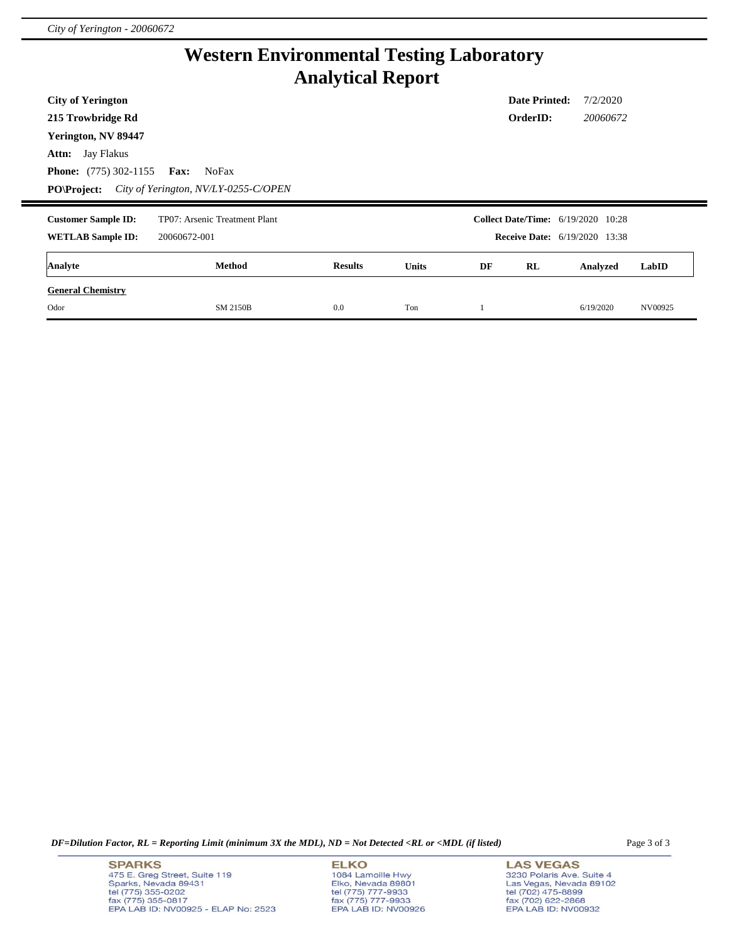# **Western Environmental Testing Laboratory Analytical Report**

| <b>City of Yerington</b><br>215 Trowbridge Rd                                                        |                                                              |                |              |    | <b>Date Printed:</b><br>OrderID: | 7/2/2020<br>20060672                                                              |       |
|------------------------------------------------------------------------------------------------------|--------------------------------------------------------------|----------------|--------------|----|----------------------------------|-----------------------------------------------------------------------------------|-------|
| Yerington, NV 89447<br><b>Attn:</b> Jay Flakus<br><b>Phone:</b> (775) 302-1155<br><b>PO\Project:</b> | <b>Fax:</b><br>NoFax<br>City of Yerington, NV/LY-0255-C/OPEN |                |              |    |                                  |                                                                                   |       |
|                                                                                                      |                                                              |                |              |    |                                  |                                                                                   |       |
| <b>Customer Sample ID:</b><br><b>WETLAB Sample ID:</b>                                               | TP07: Arsenic Treatment Plant<br>20060672-001                |                |              |    |                                  | <b>Collect Date/Time:</b> 6/19/2020 10:28<br><b>Receive Date:</b> 6/19/2020 13:38 |       |
| Analyte                                                                                              | Method                                                       | <b>Results</b> | <b>Units</b> | DF | RL                               | Analyzed                                                                          | LabID |

*DF=Dilution Factor, RL = Reporting Limit (minimum 3X the MDL), ND = Not Detected <RL or <MDL (if listed)* Page 3 of 3

**SPARKS** 475 E. Greg Street, Suite 119<br>Sparks, Nevada 89431 tel (775) 355-0202 fax (775) 355-0817<br>EPA LAB ID: NV00925 - ELAP No: 2523

## **ELKO**

1084 Lamoille Hwy<br>Elko, Nevada 89801 tel (775) 777-9933<br>fax (775) 777-9933<br>EPA LAB ID: NV00926